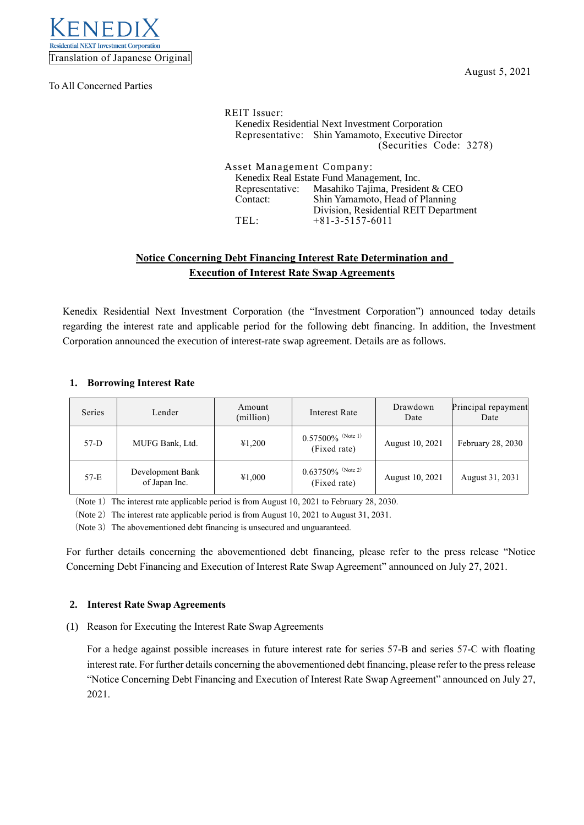

To All Concerned Parties

| <b>REIT</b> Issuer:                                                    | Kenedix Residential Next Investment Corporation<br>Representative: Shin Yamamoto, Executive Director<br>(Securities Code: 3278) |  |  |  |
|------------------------------------------------------------------------|---------------------------------------------------------------------------------------------------------------------------------|--|--|--|
| Asset Management Company:<br>Kenedix Real Estate Fund Management, Inc. |                                                                                                                                 |  |  |  |
|                                                                        | Representative: Masahiko Tajima, President & CEO                                                                                |  |  |  |
| Contact:                                                               | Shin Yamamoto, Head of Planning                                                                                                 |  |  |  |
|                                                                        | Division, Residential REIT Department                                                                                           |  |  |  |
| TFI -                                                                  | $+81-3-5157-6011$                                                                                                               |  |  |  |

# **Notice Concerning Debt Financing Interest Rate Determination and Execution of Interest Rate Swap Agreements**

Kenedix Residential Next Investment Corporation (the "Investment Corporation") announced today details regarding the interest rate and applicable period for the following debt financing. In addition, the Investment Corporation announced the execution of interest-rate swap agreement. Details are as follows.

# **1. Borrowing Interest Rate**

| Series | Lender                            | Amount<br>(million) | Interest Rate                        | Drawdown<br>Date | Principal repayment<br>Date |
|--------|-----------------------------------|---------------------|--------------------------------------|------------------|-----------------------------|
| $57-D$ | MUFG Bank, Ltd.                   | ¥1,200              | $0.57500\%$ (Note 1)<br>(Fixed rate) | August 10, 2021  | February 28, 2030           |
| $57-E$ | Development Bank<br>of Japan Inc. | ¥1,000              | $0.63750\%$ (Note 2)<br>(Fixed rate) | August 10, 2021  | August 31, 2031             |

(Note 1) The interest rate applicable period is from August 10, 2021 to February 28, 2030.

(Note 2) The interest rate applicable period is from August 10, 2021 to August 31, 2031.

(Note 3) The abovementioned debt financing is unsecured and unguaranteed.

For further details concerning the abovementioned debt financing, please refer to the press release "Notice Concerning Debt Financing and Execution of Interest Rate Swap Agreement" announced on July 27, 2021.

### **2. Interest Rate Swap Agreements**

(1) Reason for Executing the Interest Rate Swap Agreements

For a hedge against possible increases in future interest rate for series 57-B and series 57-C with floating interest rate. For further details concerning the abovementioned debt financing, please refer to the press release "Notice Concerning Debt Financing and Execution of Interest Rate Swap Agreement" announced on July 27, 2021.